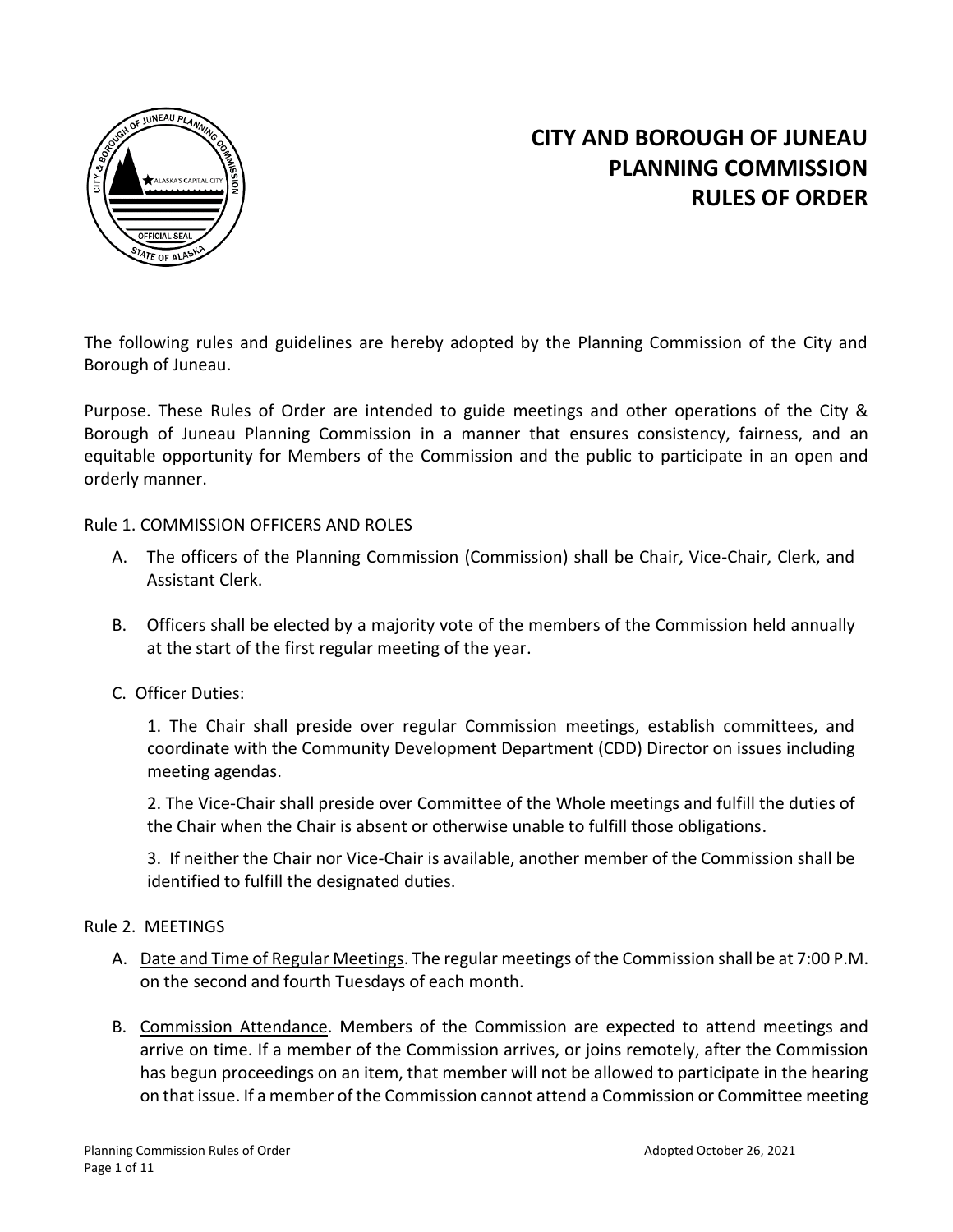

# **CITY AND BOROUGH OF JUNEAU PLANNING COMMISSION RULES OF ORDER**

The following rules and guidelines are hereby adopted by the Planning Commission of the City and Borough of Juneau.

Purpose. These Rules of Order are intended to guide meetings and other operations of the City & Borough of Juneau Planning Commission in a manner that ensures consistency, fairness, and an equitable opportunity for Members of the Commission and the public to participate in an open and orderly manner.

## Rule 1. COMMISSION OFFICERS AND ROLES

- A. The officers of the Planning Commission (Commission) shall be Chair, Vice-Chair, Clerk, and Assistant Clerk.
- B. Officers shall be elected by a majority vote of the members of the Commission held annually at the start of the first regular meeting of the year.
- C. Officer Duties:

1. The Chair shall preside over regular Commission meetings, establish committees, and coordinate with the Community Development Department (CDD) Director on issues including meeting agendas.

2. The Vice-Chair shall preside over Committee of the Whole meetings and fulfill the duties of the Chair when the Chair is absent or otherwise unable to fulfill those obligations.

3. If neither the Chair nor Vice-Chair is available, another member of the Commission shall be identified to fulfill the designated duties.

## Rule 2. MEETINGS

- A. Date and Time of Regular Meetings. The regular meetings of the Commission shall be at 7:00 P.M. on the second and fourth Tuesdays of each month.
- B. Commission Attendance. Members of the Commission are expected to attend meetings and arrive on time. If a member of the Commission arrives, or joins remotely, after the Commission has begun proceedings on an item, that member will not be allowed to participate in the hearing on that issue. If a member of the Commission cannot attend a Commission or Committee meeting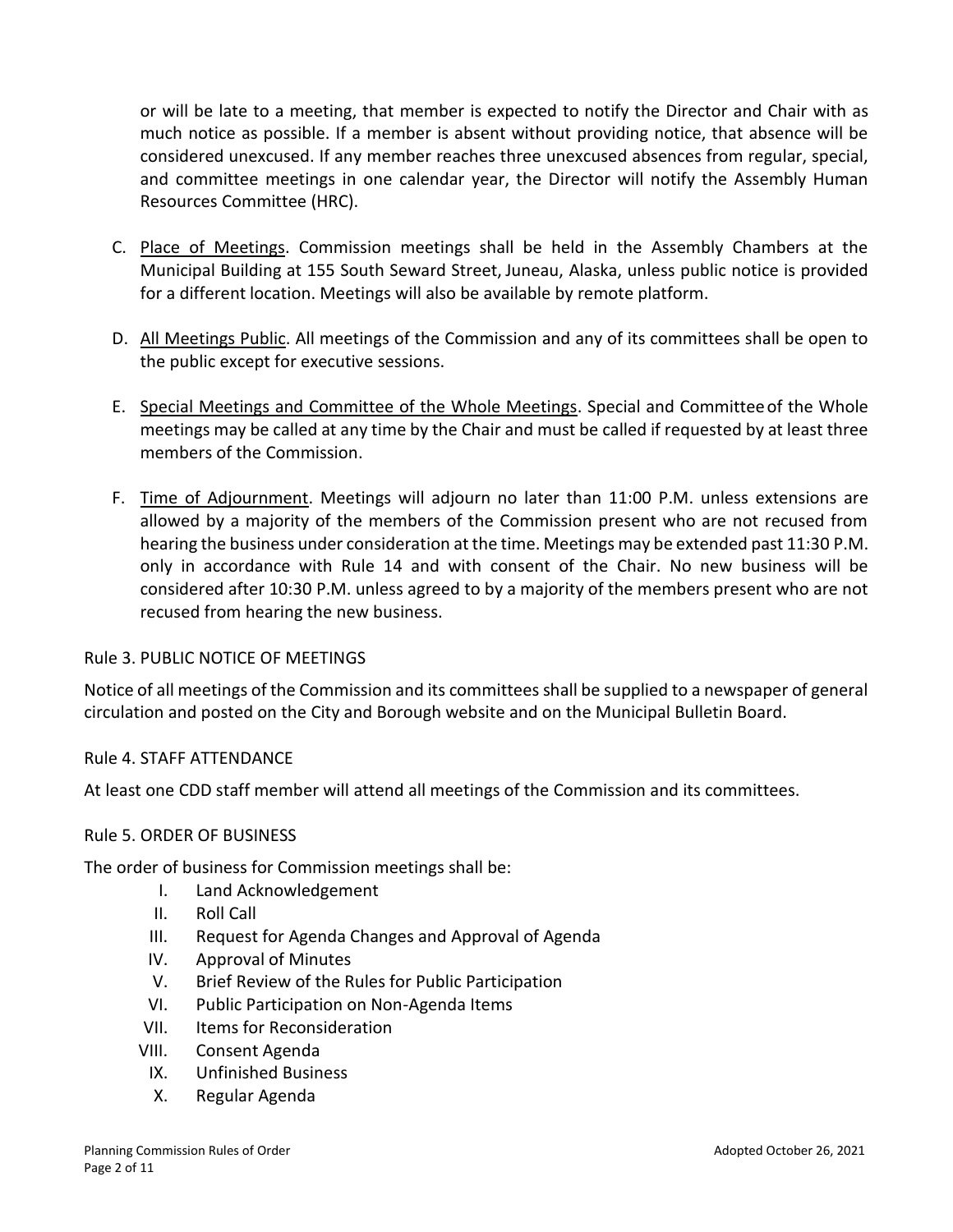or will be late to a meeting, that member is expected to notify the Director and Chair with as much notice as possible. If a member is absent without providing notice, that absence will be considered unexcused. If any member reaches three unexcused absences from regular, special, and committee meetings in one calendar year, the Director will notify the Assembly Human Resources Committee (HRC).

- C. Place of Meetings. Commission meetings shall be held in the Assembly Chambers at the Municipal Building at 155 South Seward Street, Juneau, Alaska, unless public notice is provided for a different location. Meetings will also be available by remote platform.
- D. All Meetings Public. All meetings of the Commission and any of its committees shall be open to the public except for executive sessions.
- E. Special Meetings and Committee of the Whole Meetings. Special and Committeeof the Whole meetings may be called at any time by the Chair and must be called if requested by at least three members of the Commission.
- F. Time of Adjournment. Meetings will adjourn no later than 11:00 P.M. unless extensions are allowed by a majority of the members of the Commission present who are not recused from hearing the business under consideration at the time. Meetings may be extended past 11:30 P.M. only in accordance with Rule 14 and with consent of the Chair. No new business will be considered after 10:30 P.M. unless agreed to by a majority of the members present who are not recused from hearing the new business.

## Rule 3. PUBLIC NOTICE OF MEETINGS

Notice of all meetings of the Commission and its committees shall be supplied to a newspaper of general circulation and posted on the City and Borough website and on the Municipal Bulletin Board.

## Rule 4. STAFF ATTENDANCE

At least one CDD staff member will attend all meetings of the Commission and its committees.

#### Rule 5. ORDER OF BUSINESS

The order of business for Commission meetings shall be:

- I. Land Acknowledgement
- II. Roll Call
- III. Request for Agenda Changes and Approval of Agenda
- IV. Approval of Minutes
- V. Brief Review of the Rules for Public Participation
- VI. Public Participation on Non-Agenda Items
- VII. Items for Reconsideration
- VIII. Consent Agenda
	- IX. Unfinished Business
	- X. Regular Agenda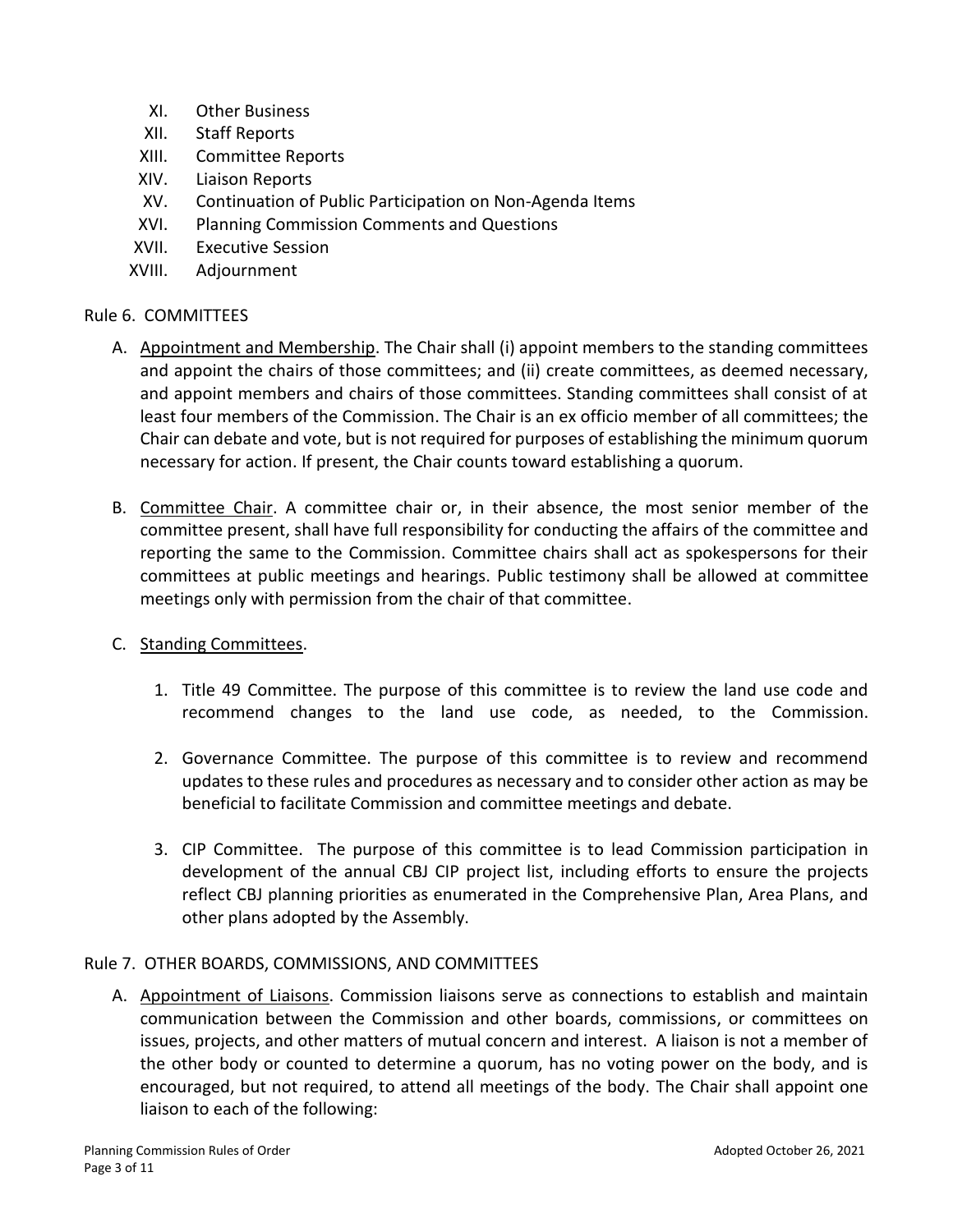- XI. Other Business
- XII. Staff Reports
- XIII. Committee Reports
- XIV. Liaison Reports
- XV. Continuation of Public Participation on Non-Agenda Items
- XVI. Planning Commission Comments and Questions
- XVII. Executive Session
- XVIII. Adjournment

## Rule 6. COMMITTEES

- A. Appointment and Membership. The Chair shall (i) appoint members to the standing committees and appoint the chairs of those committees; and (ii) create committees, as deemed necessary, and appoint members and chairs of those committees. Standing committees shall consist of at least four members of the Commission. The Chair is an ex officio member of all committees; the Chair can debate and vote, but is not required for purposes of establishing the minimum quorum necessary for action. If present, the Chair counts toward establishing a quorum.
- B. Committee Chair. A committee chair or, in their absence, the most senior member of the committee present, shall have full responsibility for conducting the affairs of the committee and reporting the same to the Commission. Committee chairs shall act as spokespersons for their committees at public meetings and hearings. Public testimony shall be allowed at committee meetings only with permission from the chair of that committee.
- C. Standing Committees.
	- 1. Title 49 Committee. The purpose of this committee is to review the land use code and recommend changes to the land use code, as needed, to the Commission.
	- 2. Governance Committee. The purpose of this committee is to review and recommend updates to these rules and procedures as necessary and to consider other action as may be beneficial to facilitate Commission and committee meetings and debate.
	- 3. CIP Committee. The purpose of this committee is to lead Commission participation in development of the annual CBJ CIP project list, including efforts to ensure the projects reflect CBJ planning priorities as enumerated in the Comprehensive Plan, Area Plans, and other plans adopted by the Assembly.

## Rule 7. OTHER BOARDS, COMMISSIONS, AND COMMITTEES

A. Appointment of Liaisons. Commission liaisons serve as connections to establish and maintain communication between the Commission and other boards, commissions, or committees on issues, projects, and other matters of mutual concern and interest. A liaison is not a member of the other body or counted to determine a quorum, has no voting power on the body, and is encouraged, but not required, to attend all meetings of the body. The Chair shall appoint one liaison to each of the following: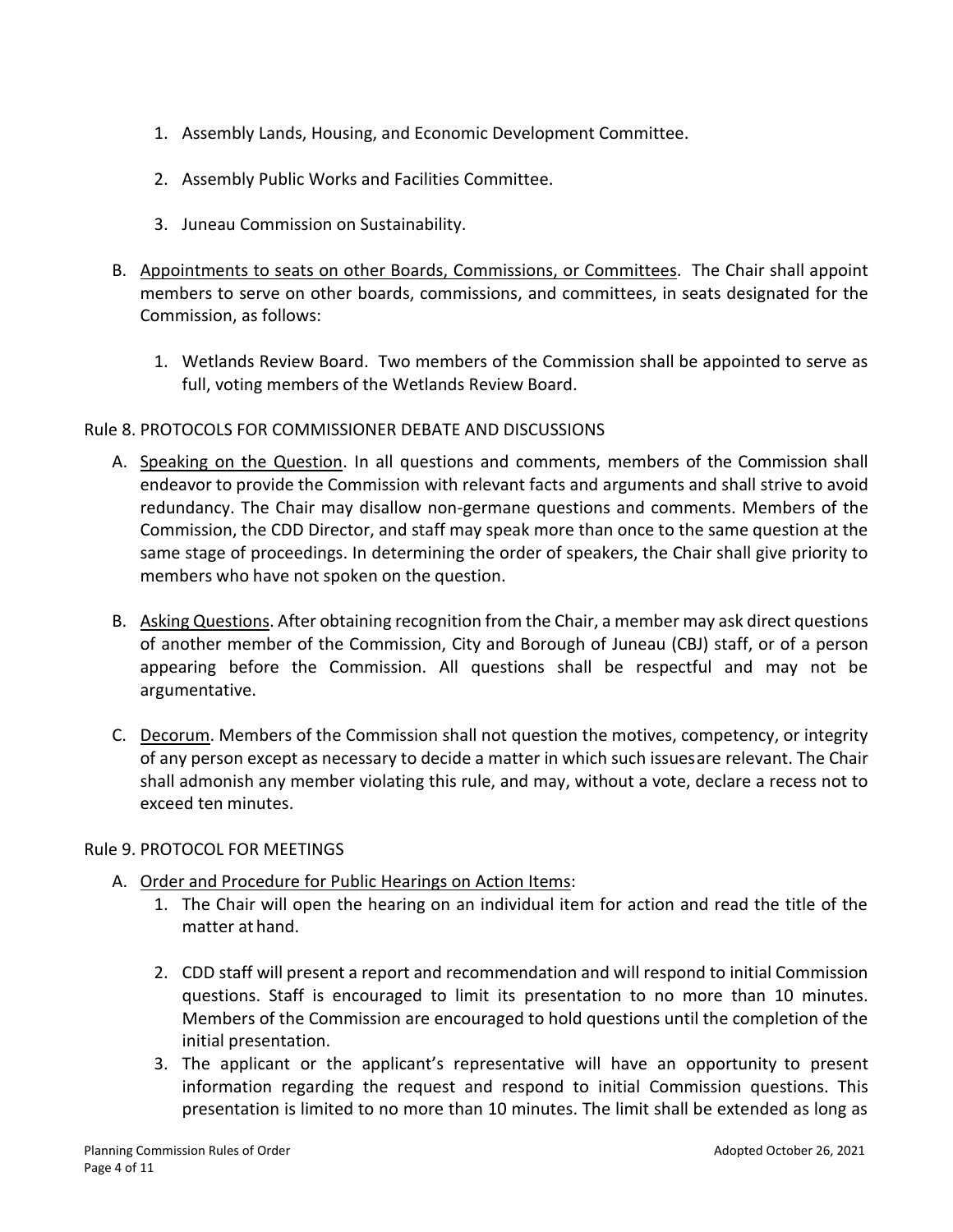- 1. Assembly Lands, Housing, and Economic Development Committee.
- 2. Assembly Public Works and Facilities Committee.
- 3. Juneau Commission on Sustainability.
- B. Appointments to seats on other Boards, Commissions, or Committees. The Chair shall appoint members to serve on other boards, commissions, and committees, in seats designated for the Commission, as follows:
	- 1. Wetlands Review Board. Two members of the Commission shall be appointed to serve as full, voting members of the Wetlands Review Board.

## Rule 8. PROTOCOLS FOR COMMISSIONER DEBATE AND DISCUSSIONS

- A. Speaking on the Question. In all questions and comments, members of the Commission shall endeavor to provide the Commission with relevant facts and arguments and shall strive to avoid redundancy. The Chair may disallow non-germane questions and comments. Members of the Commission, the CDD Director, and staff may speak more than once to the same question at the same stage of proceedings. In determining the order of speakers, the Chair shall give priority to members who have not spoken on the question.
- B. Asking Questions. After obtaining recognition from the Chair, a member may ask direct questions of another member of the Commission, City and Borough of Juneau (CBJ) staff, or of a person appearing before the Commission. All questions shall be respectful and may not be argumentative.
- C. Decorum. Members of the Commission shall not question the motives, competency, or integrity of any person except as necessary to decide a matter in which such issuesare relevant. The Chair shall admonish any member violating this rule, and may, without a vote, declare a recess not to exceed ten minutes.

#### Rule 9. PROTOCOL FOR MEETINGS

- A. Order and Procedure for Public Hearings on Action Items:
	- 1. The Chair will open the hearing on an individual item for action and read the title of the matter at hand.
	- 2. CDD staff will present a report and recommendation and will respond to initial Commission questions. Staff is encouraged to limit its presentation to no more than 10 minutes. Members of the Commission are encouraged to hold questions until the completion of the initial presentation.
	- 3. The applicant or the applicant's representative will have an opportunity to present information regarding the request and respond to initial Commission questions. This presentation is limited to no more than 10 minutes. The limit shall be extended as long as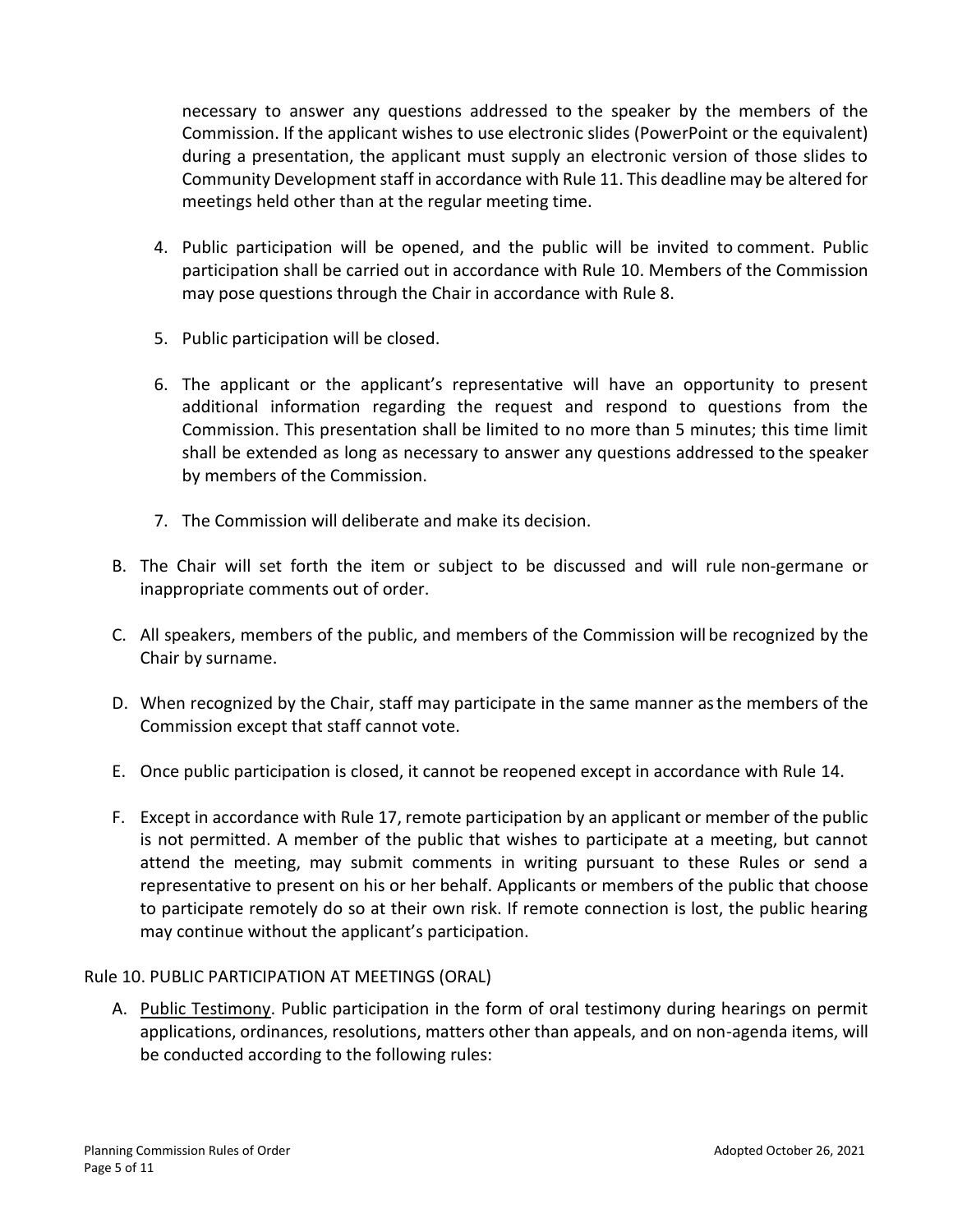necessary to answer any questions addressed to the speaker by the members of the Commission. If the applicant wishes to use electronic slides (PowerPoint or the equivalent) during a presentation, the applicant must supply an electronic version of those slides to Community Development staff in accordance with Rule 11. This deadline may be altered for meetings held other than at the regular meeting time.

- 4. Public participation will be opened, and the public will be invited to comment. Public participation shall be carried out in accordance with Rule 10. Members of the Commission may pose questions through the Chair in accordance with Rule 8.
- 5. Public participation will be closed.
- 6. The applicant or the applicant's representative will have an opportunity to present additional information regarding the request and respond to questions from the Commission. This presentation shall be limited to no more than 5 minutes; this time limit shall be extended as long as necessary to answer any questions addressed to the speaker by members of the Commission.
- 7. The Commission will deliberate and make its decision.
- B. The Chair will set forth the item or subject to be discussed and will rule non-germane or inappropriate comments out of order.
- C. All speakers, members of the public, and members of the Commission will be recognized by the Chair by surname.
- D. When recognized by the Chair, staff may participate in the same manner asthe members of the Commission except that staff cannot vote.
- E. Once public participation is closed, it cannot be reopened except in accordance with Rule 14.
- F. Except in accordance with Rule 17, remote participation by an applicant or member of the public is not permitted. A member of the public that wishes to participate at a meeting, but cannot attend the meeting, may submit comments in writing pursuant to these Rules or send a representative to present on his or her behalf. Applicants or members of the public that choose to participate remotely do so at their own risk. If remote connection is lost, the public hearing may continue without the applicant's participation.

## Rule 10. PUBLIC PARTICIPATION AT MEETINGS (ORAL)

A. Public Testimony. Public participation in the form of oral testimony during hearings on permit applications, ordinances, resolutions, matters other than appeals, and on non-agenda items, will be conducted according to the following rules: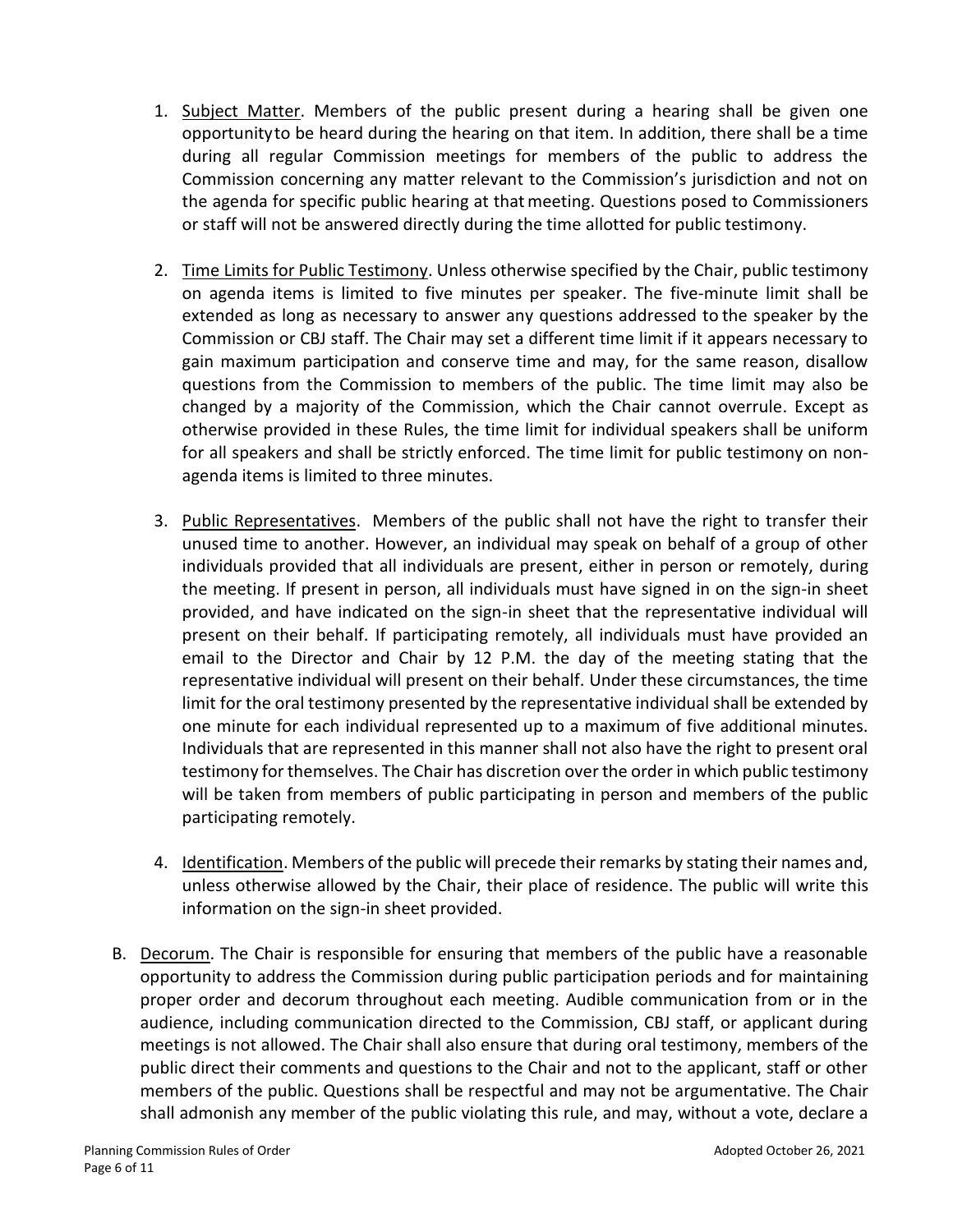- 1. Subject Matter. Members of the public present during a hearing shall be given one opportunityto be heard during the hearing on that item. In addition, there shall be a time during all regular Commission meetings for members of the public to address the Commission concerning any matter relevant to the Commission's jurisdiction and not on the agenda for specific public hearing at thatmeeting. Questions posed to Commissioners or staff will not be answered directly during the time allotted for public testimony.
- 2. Time Limits for Public Testimony. Unless otherwise specified by the Chair, public testimony on agenda items is limited to five minutes per speaker. The five-minute limit shall be extended as long as necessary to answer any questions addressed to the speaker by the Commission or CBJ staff. The Chair may set a different time limit if it appears necessary to gain maximum participation and conserve time and may, for the same reason, disallow questions from the Commission to members of the public. The time limit may also be changed by a majority of the Commission, which the Chair cannot overrule. Except as otherwise provided in these Rules, the time limit for individual speakers shall be uniform for all speakers and shall be strictly enforced. The time limit for public testimony on nonagenda items is limited to three minutes.
- 3. Public Representatives. Members of the public shall not have the right to transfer their unused time to another. However, an individual may speak on behalf of a group of other individuals provided that all individuals are present, either in person or remotely, during the meeting. If present in person, all individuals must have signed in on the sign-in sheet provided, and have indicated on the sign-in sheet that the representative individual will present on their behalf. If participating remotely, all individuals must have provided an email to the Director and Chair by 12 P.M. the day of the meeting stating that the representative individual will present on their behalf. Under these circumstances, the time limit for the oral testimony presented by the representative individual shall be extended by one minute for each individual represented up to a maximum of five additional minutes. Individuals that are represented in this manner shall not also have the right to present oral testimony for themselves. The Chair has discretion over the order in which public testimony will be taken from members of public participating in person and members of the public participating remotely.
- 4. Identification. Members of the public will precede their remarks by stating their names and, unless otherwise allowed by the Chair, their place of residence. The public will write this information on the sign-in sheet provided.
- B. Decorum. The Chair is responsible for ensuring that members of the public have a reasonable opportunity to address the Commission during public participation periods and for maintaining proper order and decorum throughout each meeting. Audible communication from or in the audience, including communication directed to the Commission, CBJ staff, or applicant during meetings is not allowed. The Chair shall also ensure that during oral testimony, members of the public direct their comments and questions to the Chair and not to the applicant, staff or other members of the public. Questions shall be respectful and may not be argumentative. The Chair shall admonish any member of the public violating this rule, and may, without a vote, declare a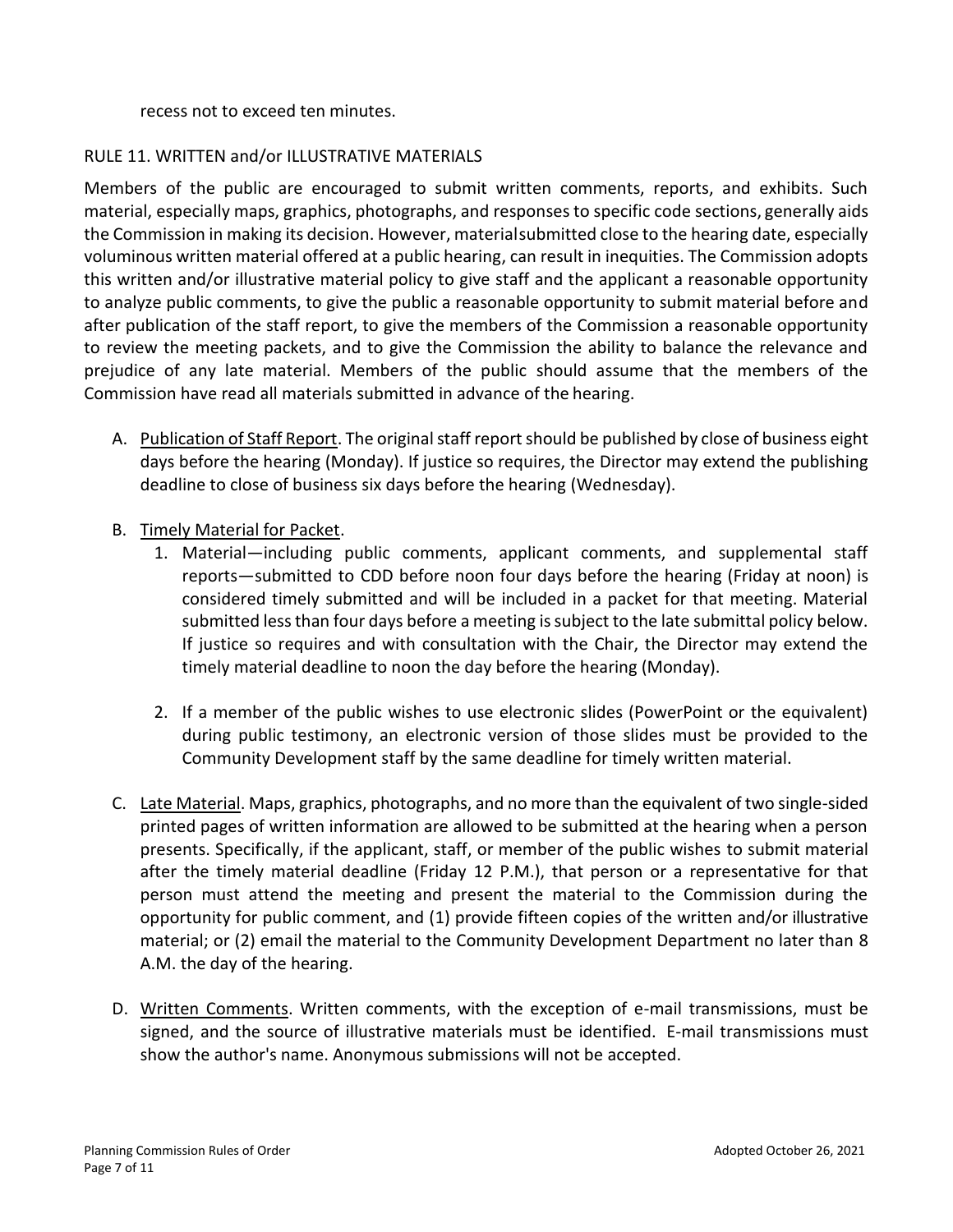#### recess not to exceed ten minutes.

## RULE 11. WRITTEN and/or ILLUSTRATIVE MATERIALS

Members of the public are encouraged to submit written comments, reports, and exhibits. Such material, especially maps, graphics, photographs, and responses to specific code sections, generally aids the Commission in making its decision. However, materialsubmitted close to the hearing date, especially voluminous written material offered at a public hearing, can result in inequities. The Commission adopts this written and/or illustrative material policy to give staff and the applicant a reasonable opportunity to analyze public comments, to give the public a reasonable opportunity to submit material before and after publication of the staff report, to give the members of the Commission a reasonable opportunity to review the meeting packets, and to give the Commission the ability to balance the relevance and prejudice of any late material. Members of the public should assume that the members of the Commission have read all materials submitted in advance of the hearing.

- A. Publication of Staff Report. The original staff report should be published by close of business eight days before the hearing (Monday). If justice so requires, the Director may extend the publishing deadline to close of business six days before the hearing (Wednesday).
- B. Timely Material for Packet.
	- 1. Material—including public comments, applicant comments, and supplemental staff reports—submitted to CDD before noon four days before the hearing (Friday at noon) is considered timely submitted and will be included in a packet for that meeting. Material submitted less than four days before a meeting is subject to the late submittal policy below. If justice so requires and with consultation with the Chair, the Director may extend the timely material deadline to noon the day before the hearing (Monday).
	- 2. If a member of the public wishes to use electronic slides (PowerPoint or the equivalent) during public testimony, an electronic version of those slides must be provided to the Community Development staff by the same deadline for timely written material.
- C. Late Material. Maps, graphics, photographs, and no more than the equivalent of two single-sided printed pages of written information are allowed to be submitted at the hearing when a person presents. Specifically, if the applicant, staff, or member of the public wishes to submit material after the timely material deadline (Friday 12 P.M.), that person or a representative for that person must attend the meeting and present the material to the Commission during the opportunity for public comment, and (1) provide fifteen copies of the written and/or illustrative material; or (2) email the material to the Community Development Department no later than 8 A.M. the day of the hearing.
- D. Written Comments. Written comments, with the exception of e-mail transmissions, must be signed, and the source of illustrative materials must be identified. E-mail transmissions must show the author's name. Anonymous submissions will not be accepted.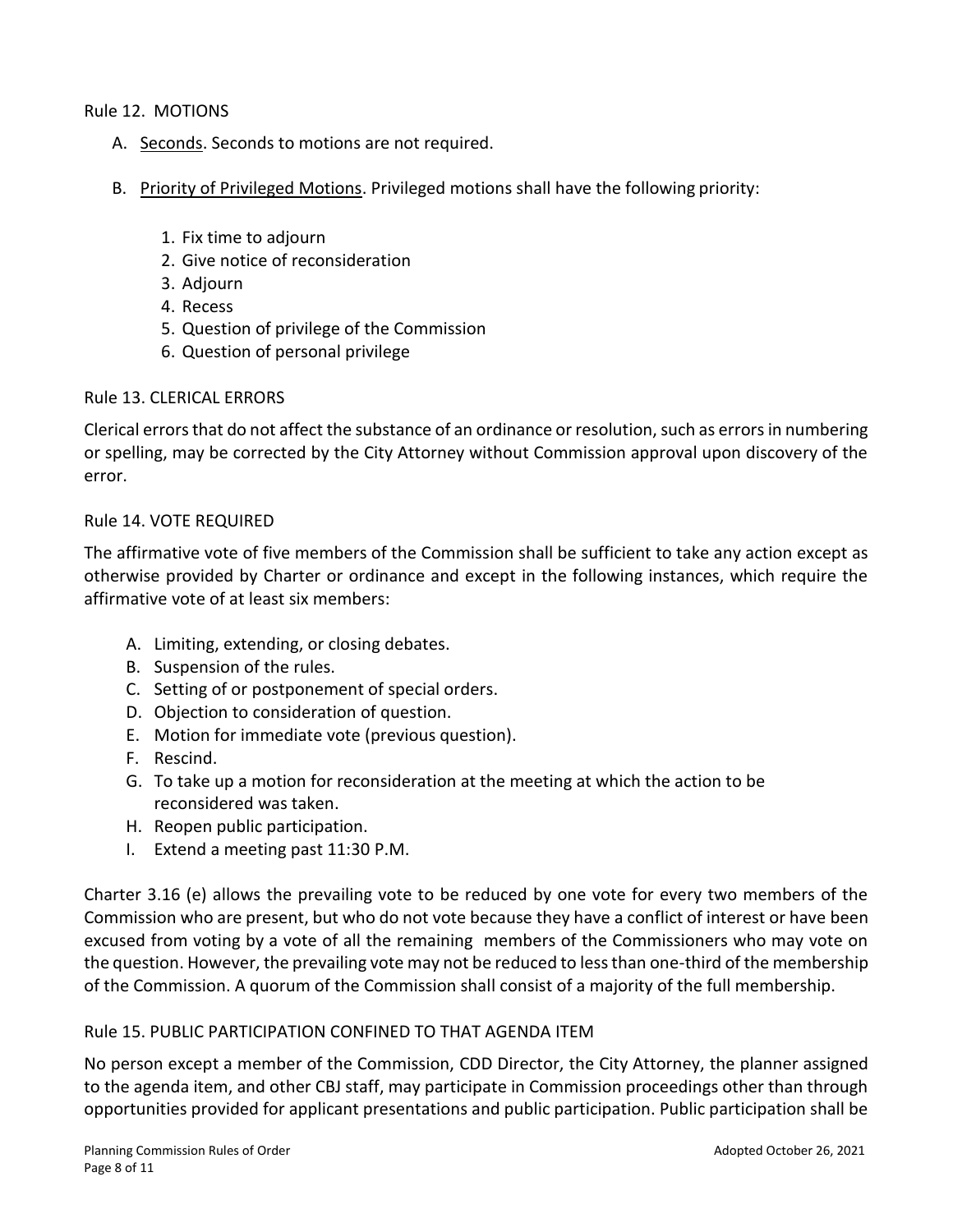Rule 12. MOTIONS

- A. Seconds. Seconds to motions are not required.
- B. Priority of Privileged Motions. Privileged motions shall have the following priority:
	- 1. Fix time to adjourn
	- 2. Give notice of reconsideration
	- 3. Adjourn
	- 4. Recess
	- 5. Question of privilege of the Commission
	- 6. Question of personal privilege

#### Rule 13. CLERICAL ERRORS

Clerical errors that do not affect the substance of an ordinance or resolution, such as errors in numbering or spelling, may be corrected by the City Attorney without Commission approval upon discovery of the error.

#### Rule 14. VOTE REQUIRED

The affirmative vote of five members of the Commission shall be sufficient to take any action except as otherwise provided by Charter or ordinance and except in the following instances, which require the affirmative vote of at least six members:

- A. Limiting, extending, or closing debates.
- B. Suspension of the rules.
- C. Setting of or postponement of special orders.
- D. Objection to consideration of question.
- E. Motion for immediate vote (previous question).
- F. Rescind.
- G. To take up a motion for reconsideration at the meeting at which the action to be reconsidered was taken.
- H. Reopen public participation.
- I. Extend a meeting past 11:30 P.M.

Charter 3.16 (e) allows the prevailing vote to be reduced by one vote for every two members of the Commission who are present, but who do not vote because they have a conflict of interest or have been excused from voting by a vote of all the remaining members of the Commissioners who may vote on the question. However, the prevailing vote may not be reduced to less than one-third of the membership of the Commission. A quorum of the Commission shall consist of a majority of the full membership.

#### Rule 15. PUBLIC PARTICIPATION CONFINED TO THAT AGENDA ITEM

No person except a member of the Commission, CDD Director, the City Attorney, the planner assigned to the agenda item, and other CBJ staff, may participate in Commission proceedings other than through opportunities provided for applicant presentations and public participation. Public participation shall be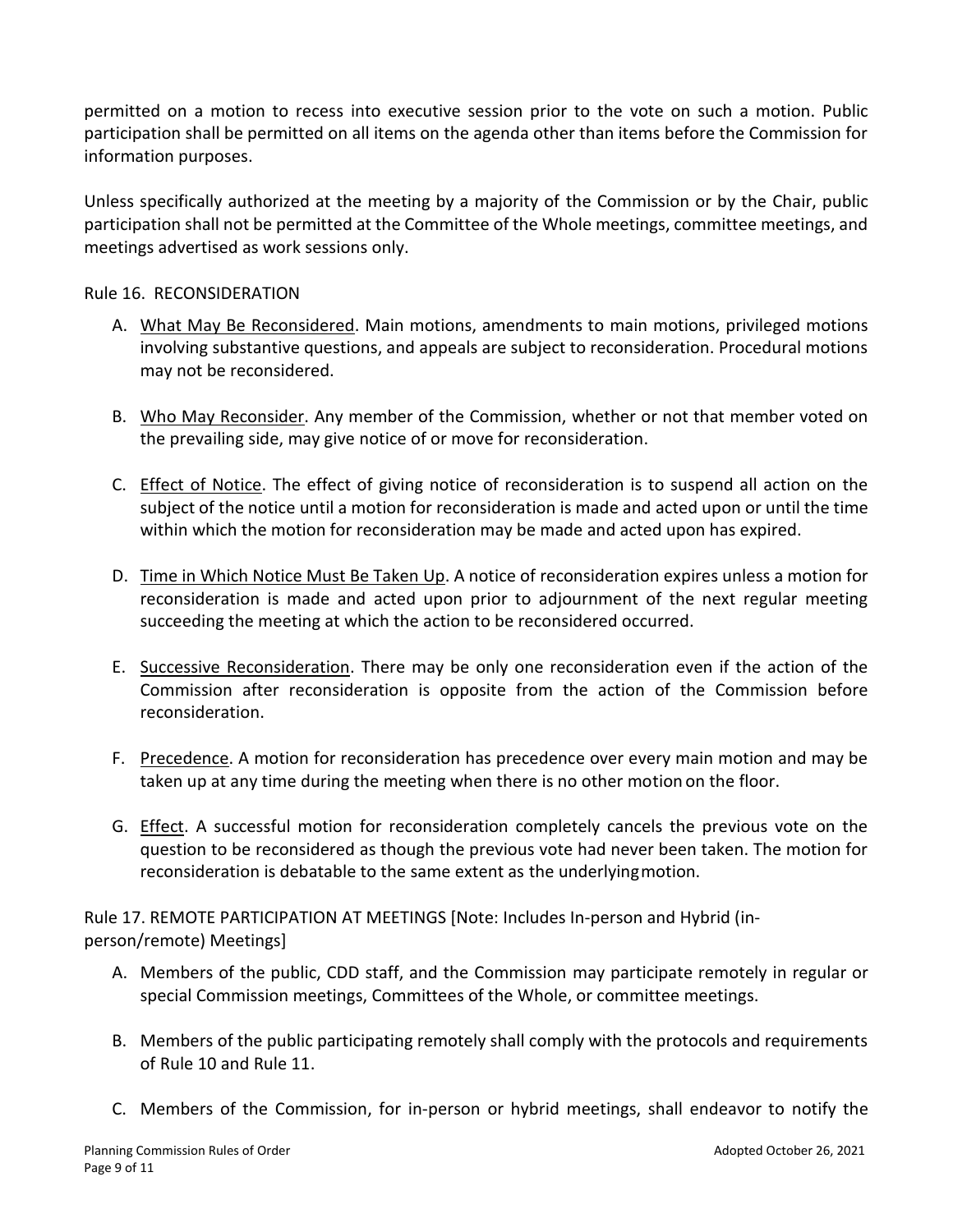permitted on a motion to recess into executive session prior to the vote on such a motion. Public participation shall be permitted on all items on the agenda other than items before the Commission for information purposes.

Unless specifically authorized at the meeting by a majority of the Commission or by the Chair, public participation shall not be permitted at the Committee of the Whole meetings, committee meetings, and meetings advertised as work sessions only.

## Rule 16. RECONSIDERATION

- A. What May Be Reconsidered. Main motions, amendments to main motions, privileged motions involving substantive questions, and appeals are subject to reconsideration. Procedural motions may not be reconsidered.
- B. Who May Reconsider. Any member of the Commission, whether or not that member voted on the prevailing side, may give notice of or move for reconsideration.
- C. Effect of Notice. The effect of giving notice of reconsideration is to suspend all action on the subject of the notice until a motion for reconsideration is made and acted upon or until the time within which the motion for reconsideration may be made and acted upon has expired.
- D. Time in Which Notice Must Be Taken Up. A notice of reconsideration expires unless a motion for reconsideration is made and acted upon prior to adjournment of the next regular meeting succeeding the meeting at which the action to be reconsidered occurred.
- E. Successive Reconsideration. There may be only one reconsideration even if the action of the Commission after reconsideration is opposite from the action of the Commission before reconsideration.
- F. Precedence. A motion for reconsideration has precedence over every main motion and may be taken up at any time during the meeting when there is no other motion on the floor.
- G. **Effect**. A successful motion for reconsideration completely cancels the previous vote on the question to be reconsidered as though the previous vote had never been taken. The motion for reconsideration is debatable to the same extent as the underlyingmotion.

Rule 17. REMOTE PARTICIPATION AT MEETINGS [Note: Includes In-person and Hybrid (inperson/remote) Meetings]

- A. Members of the public, CDD staff, and the Commission may participate remotely in regular or special Commission meetings, Committees of the Whole, or committee meetings.
- B. Members of the public participating remotely shall comply with the protocols and requirements of Rule 10 and Rule 11.
- C. Members of the Commission, for in-person or hybrid meetings, shall endeavor to notify the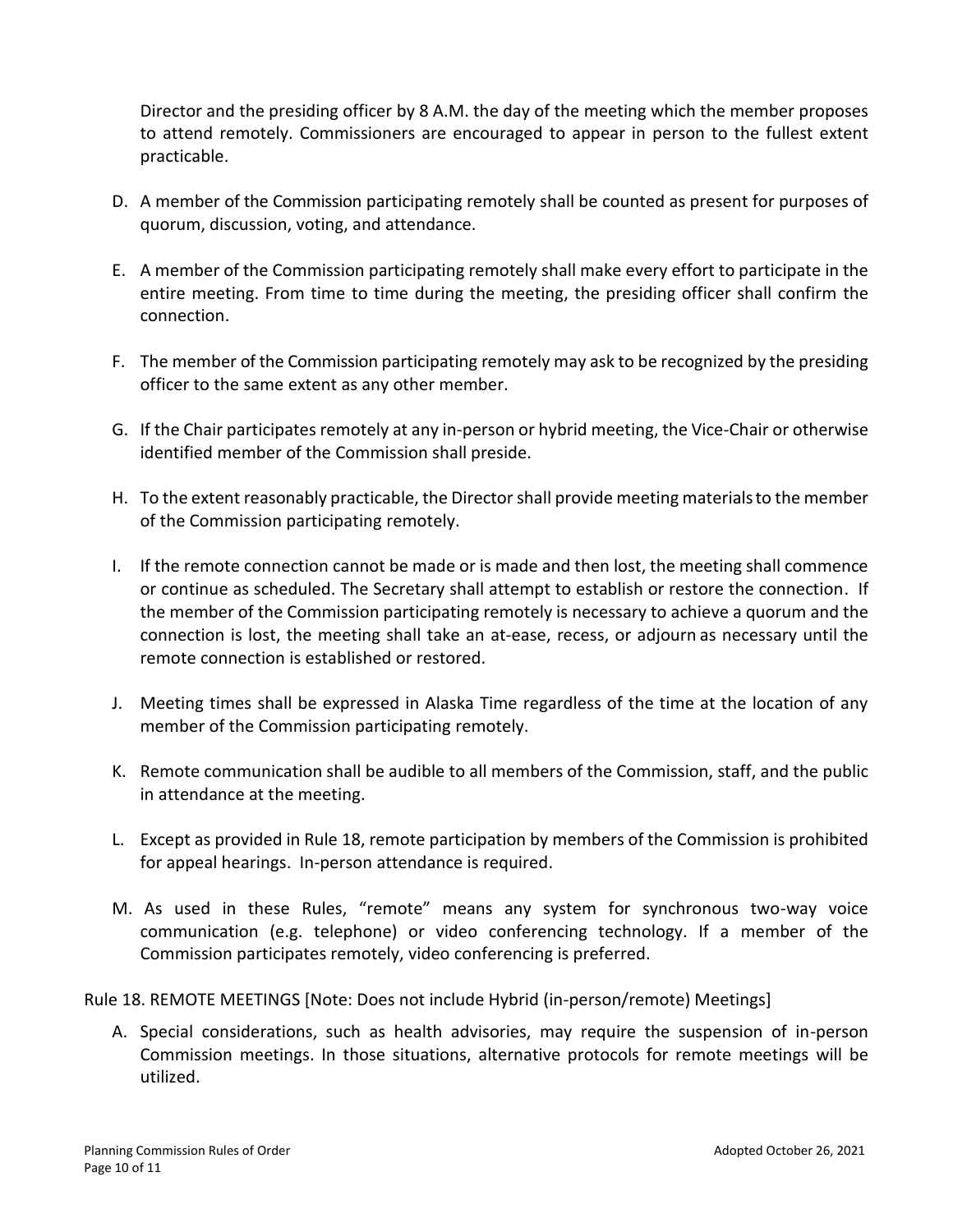Director and the presiding officer by 8 A.M. the day of the meeting which the member proposes to attend remotely. Commissioners are encouraged to appear in person to the fullest extent practicable.

- D. A member of the Commission participating remotely shall be counted as present for purposes of quorum, discussion, voting, and attendance.
- E. A member of the Commission participating remotely shall make every effort to participate in the entire meeting. From time to time during the meeting, the presiding officer shall confirm the connection.
- F. The member of the Commission participating remotely may ask to be recognized by the presiding officer to the same extent as any other member.
- G. If the Chair participates remotely at any in-person or hybrid meeting, the Vice-Chair or otherwise identified member of the Commission shall preside.
- H. To the extent reasonably practicable, the Director shall provide meeting materialsto the member of the Commission participating remotely.
- I. If the remote connection cannot be made or is made and then lost, the meeting shall commence or continue as scheduled. The Secretary shall attempt to establish or restore the connection. If the member of the Commission participating remotely is necessary to achieve a quorum and the connection is lost, the meeting shall take an at-ease, recess, or adjourn as necessary until the remote connection is established or restored.
- J. Meeting times shall be expressed in Alaska Time regardless of the time at the location of any member of the Commission participating remotely.
- K. Remote communication shall be audible to all members of the Commission, staff, and the public in attendance at the meeting.
- L. Except as provided in Rule 18, remote participation by members of the Commission is prohibited for appeal hearings. In-person attendance is required.
- M. As used in these Rules, "remote" means any system for synchronous two-way voice communication (e.g. telephone) or video conferencing technology. If a member of the Commission participates remotely, video conferencing is preferred.

Rule 18. REMOTE MEETINGS [Note: Does not include Hybrid (in-person/remote) Meetings]

A. Special considerations, such as health advisories, may require the suspension of in-person Commission meetings. In those situations, alternative protocols for remote meetings will be utilized.